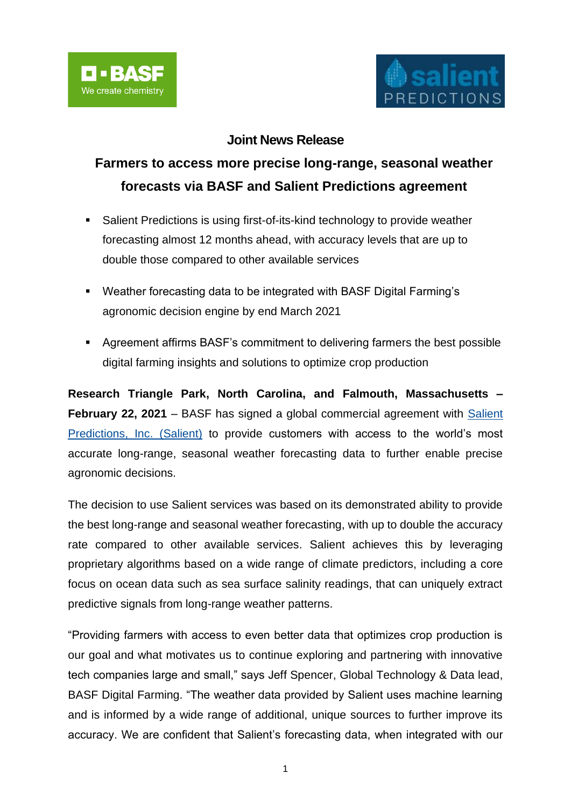

# **Joint News Release**

# **Farmers to access more precise long-range, seasonal weather forecasts via BASF and Salient Predictions agreement**

- Salient Predictions is using first-of-its-kind technology to provide weather forecasting almost 12 months ahead, with accuracy levels that are up to double those compared to other available services
- Weather forecasting data to be integrated with BASF Digital Farming's agronomic decision engine by end March 2021
- Agreement affirms BASF's commitment to delivering farmers the best possible digital farming insights and solutions to optimize crop production

**Research Triangle Park, North Carolina, and Falmouth, Massachusetts – February 22, 2021** – BASF has signed a global commercial agreement with [Salient](https://www.salientpredictions.com/)  [Predictions, Inc. \(Salient\)](https://www.salientpredictions.com/) to provide customers with access to the world's most accurate long-range, seasonal weather forecasting data to further enable precise agronomic decisions.

The decision to use Salient services was based on its demonstrated ability to provide the best long-range and seasonal weather forecasting, with up to double the accuracy rate compared to other available services. Salient achieves this by leveraging proprietary algorithms based on a wide range of climate predictors, including a core focus on ocean data such as sea surface salinity readings, that can uniquely extract predictive signals from long-range weather patterns.

"Providing farmers with access to even better data that optimizes crop production is our goal and what motivates us to continue exploring and partnering with innovative tech companies large and small," says Jeff Spencer, Global Technology & Data lead, BASF Digital Farming. "The weather data provided by Salient uses machine learning and is informed by a wide range of additional, unique sources to further improve its accuracy. We are confident that Salient's forecasting data, when integrated with our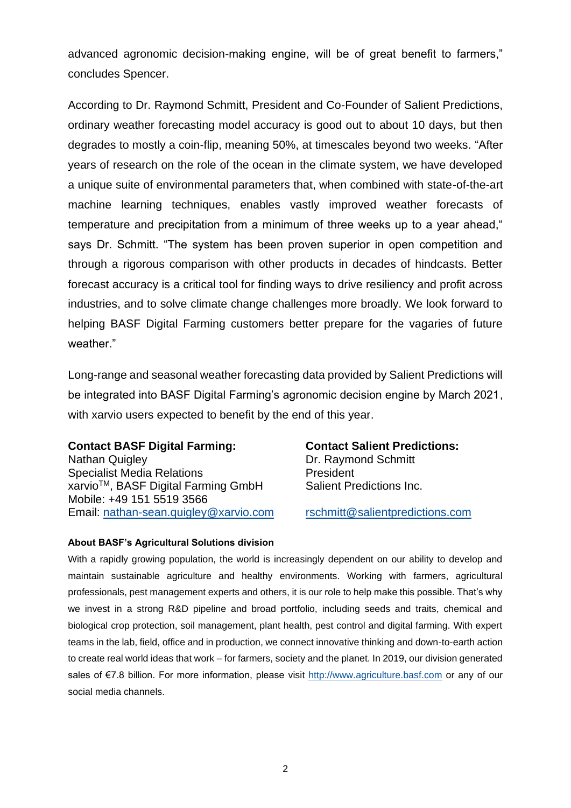advanced agronomic decision-making engine, will be of great benefit to farmers," concludes Spencer.

According to Dr. Raymond Schmitt, President and Co-Founder of Salient Predictions, ordinary weather forecasting model accuracy is good out to about 10 days, but then degrades to mostly a coin-flip, meaning 50%, at timescales beyond two weeks. "After years of research on the role of the ocean in the climate system, we have developed a unique suite of environmental parameters that, when combined with state-of-the-art machine learning techniques, enables vastly improved weather forecasts of temperature and precipitation from a minimum of three weeks up to a year ahead," says Dr. Schmitt. "The system has been proven superior in open competition and through a rigorous comparison with other products in decades of hindcasts. Better forecast accuracy is a critical tool for finding ways to drive resiliency and profit across industries, and to solve climate change challenges more broadly. We look forward to helping BASF Digital Farming customers better prepare for the vagaries of future weather."

Long-range and seasonal weather forecasting data provided by Salient Predictions will be integrated into BASF Digital Farming's agronomic decision engine by March 2021, with xarvio users expected to benefit by the end of this year.

## **Contact BASF Digital Farming: Contact Salient Predictions:**

Nathan Quigley **Dr. Raymond Schmitt** Specialist Media Relations **President** xarvio<sup>™</sup>, BASF Digital Farming GmbH Salient Predictions Inc. Mobile: +49 151 5519 3566 Email: [nathan-sean.quigley@xarvio.com](mailto:nathan-sean.quigley@xarvio.com) [rschmitt@salientpredictions.com](mailto:rschmitt@salientpredictions.com)

## **About BASF's Agricultural Solutions division**

With a rapidly growing population, the world is increasingly dependent on our ability to develop and maintain sustainable agriculture and healthy environments. Working with farmers, agricultural professionals, pest management experts and others, it is our role to help make this possible. That's why we invest in a strong R&D pipeline and broad portfolio, including seeds and traits, chemical and biological crop protection, soil management, plant health, pest control and digital farming. With expert teams in the lab, field, office and in production, we connect innovative thinking and down-to-earth action to create real world ideas that work – for farmers, society and the planet. In 2019, our division generated sales of €7.8 billion. For more information, please visit [http://www.agriculture.basf.com](http://www.agriculture.basf.com/) or any of our social media channels.